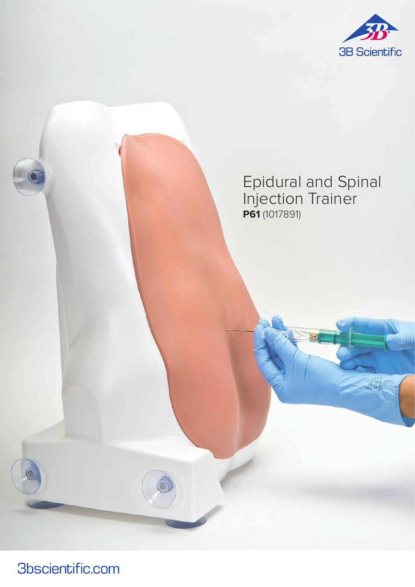

# Epidural and Spinal Injection Trainer **P61** (1017891)

**3bscientific.com**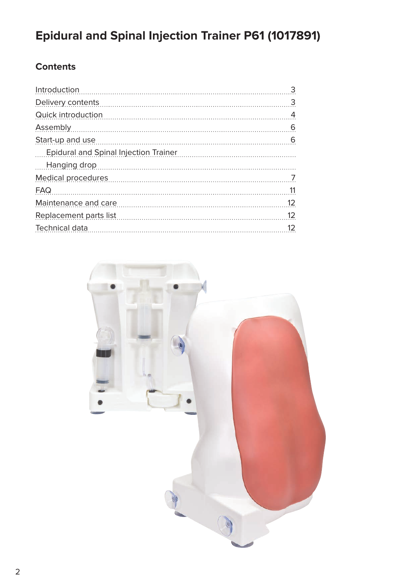# **Epidural and Spinal Injection Trainer P61 (1017891)**

# **Contents**

| Introduction                          | 3                 |
|---------------------------------------|-------------------|
| Delivery contents                     | 3                 |
| Quick introduction                    | 4                 |
| Assembly                              | 6                 |
| Start-up and use                      | 6                 |
| Epidural and Spinal Injection Trainer |                   |
| Hanging drop<br>$\frac{1}{2}$         |                   |
| <b>Medical procedures</b>             | 7                 |
| FAQ                                   | 11                |
| Maintenance and care                  | $12 \overline{ }$ |
| Replacement parts list                | 12                |
| Technical data                        | 12                |
|                                       |                   |

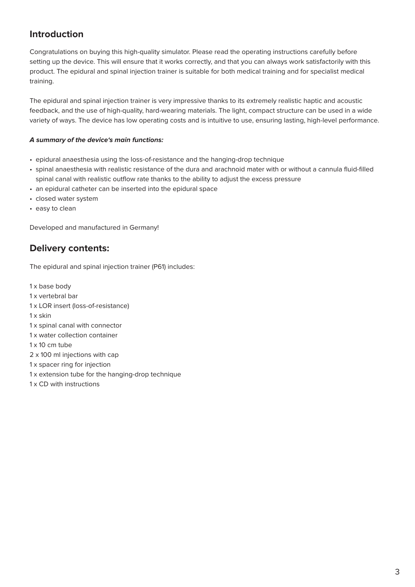# **Introduction**

Congratulations on buying this high-quality simulator. Please read the operating instructions carefully before setting up the device. This will ensure that it works correctly, and that you can always work satisfactorily with this product. The epidural and spinal injection trainer is suitable for both medical training and for specialist medical training.

The epidural and spinal injection trainer is very impressive thanks to its extremely realistic haptic and acoustic feedback, and the use of high-quality, hard-wearing materials. The light, compact structure can be used in a wide variety of ways. The device has low operating costs and is intuitive to use, ensuring lasting, high-level performance.

#### **A summary of the device's main functions:**

- epidural anaesthesia using the loss-of-resistance and the hanging-drop technique
- spinal anaesthesia with realistic resistance of the dura and arachnoid mater with or without a cannula fluid-filled spinal canal with realistic outflow rate thanks to the ability to adjust the excess pressure
- an epidural catheter can be inserted into the epidural space
- closed water system
- easy to clean

Developed and manufactured in Germany!

### **Delivery contents:**

The epidural and spinal injection trainer (P61) includes:

1 x base body 1 x vertebral bar 1 x LOR insert (loss-of-resistance) 1 x skin 1 x spinal canal with connector 1 x water collection container  $1 \times 10$  cm tube 2 x 100 ml injections with cap 1 x spacer ring for injection 1 x extension tube for the hanging-drop technique 1 x CD with instructions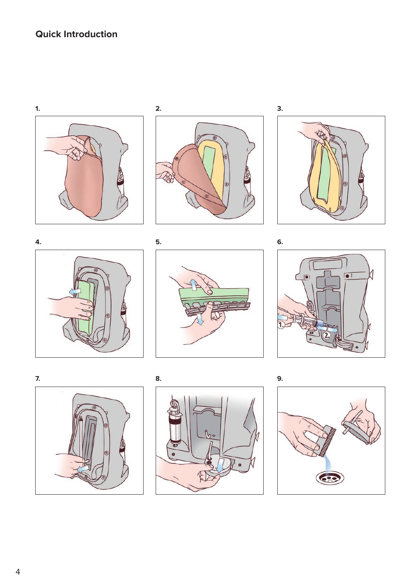# **Quick Introduction**







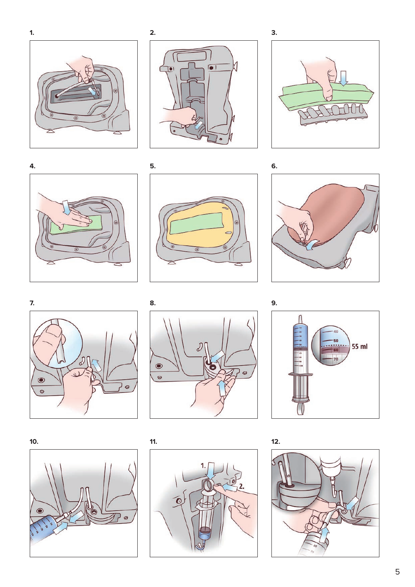







**5.**











**11.**



**12.**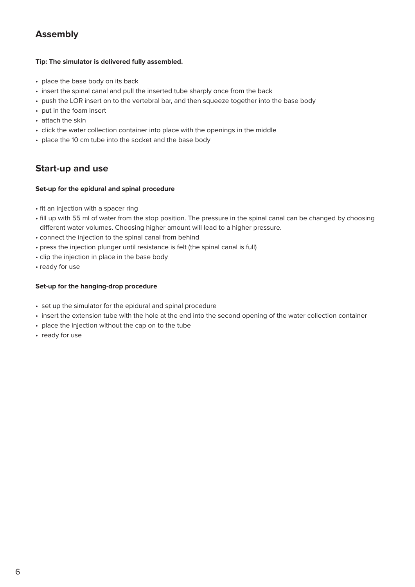# **Assembly**

#### **Tip: The simulator is delivered fully assembled.**

- place the base body on its back
- insert the spinal canal and pull the inserted tube sharply once from the back
- push the LOR insert on to the vertebral bar, and then squeeze together into the base body
- put in the foam insert
- attach the skin
- click the water collection container into place with the openings in the middle
- place the 10 cm tube into the socket and the base body

## **Start-up and use**

#### **Set-up for the epidural and spinal procedure**

- fit an injection with a spacer ring
- fill up with 55 ml of water from the stop position. The pressure in the spinal canal can be changed by choosing different water volumes. Choosing higher amount will lead to a higher pressure.
- connect the injection to the spinal canal from behind
- press the injection plunger until resistance is felt (the spinal canal is full)
- clip the injection in place in the base body
- ready for use

#### **Set-up for the hanging-drop procedure**

- set up the simulator for the epidural and spinal procedure
- insert the extension tube with the hole at the end into the second opening of the water collection container
- place the injection without the cap on to the tube
- ready for use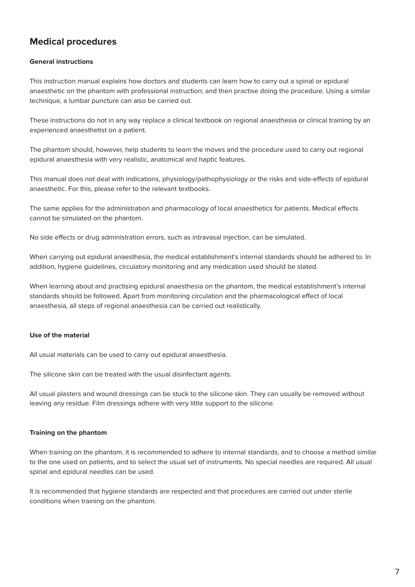# **Medical procedures**

#### **General instructions**

This instruction manual explains how doctors and students can learn how to carry out a spinal or epidural anaesthetic on the phantom with professional instruction; and then practise doing the procedure. Using a similar technique, a lumbar puncture can also be carried out.

These instructions do not in any way replace a clinical textbook on regional anaesthesia or clinical training by an experienced anaesthetist on a patient.

The phantom should, however, help students to learn the moves and the procedure used to carry out regional epidural anaesthesia with very realistic, anatomical and haptic features.

This manual does not deal with indications, physiology/pathophysiology or the risks and side-effects of epidural anaesthetic. For this, please refer to the relevant textbooks.

The same applies for the administration and pharmacology of local anaesthetics for patients. Medical effects cannot be simulated on the phantom.

No side effects or drug administration errors, such as intravasal injection, can be simulated.

When carrying out epidural anaesthesia, the medical establishment's internal standards should be adhered to. In addition, hygiene guidelines, circulatory monitoring and any medication used should be stated.

When learning about and practising epidural anaesthesia on the phantom, the medical establishment's internal standards should be followed. Apart from monitoring circulation and the pharmacological effect of local anaesthesia, all steps of regional anaesthesia can be carried out realistically.

#### **Use of the material**

All usual materials can be used to carry out epidural anaesthesia.

The silicone skin can be treated with the usual disinfectant agents.

All usual plasters and wound dressings can be stuck to the silicone skin. They can usually be removed without leaving any residue. Film dressings adhere with very little support to the silicone.

#### **Training on the phantom**

When training on the phantom, it is recommended to adhere to internal standards, and to choose a method similar to the one used on patients, and to select the usual set of instruments. No special needles are required. All usual spinal and epidural needles can be used.

It is recommended that hygiene standards are respected and that procedures are carried out under sterile conditions when training on the phantom.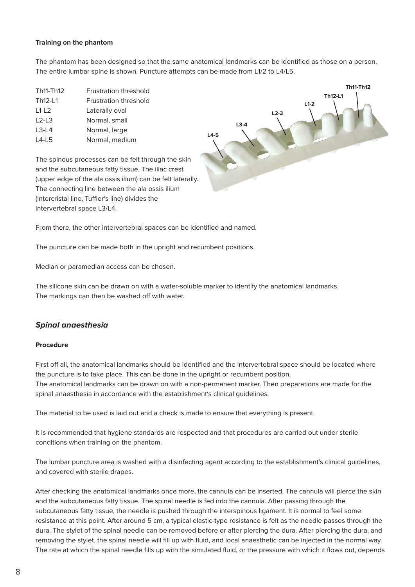#### **Training on the phantom**

The phantom has been designed so that the same anatomical landmarks can be identified as those on a person. The entire lumbar spine is shown. Puncture attempts can be made from L1/2 to L4/L5.

| Th <sub>11</sub> -Th <sub>12</sub> | <b>Frustration threshold</b> |
|------------------------------------|------------------------------|
| Th <sub>12</sub> -11               | Frustration threshold        |
| $L1-L2$                            | Laterally oval               |
| $L2-L3$                            | Normal, small                |
| $L3-L4$                            | Normal, large                |
| $14-15$                            | Normal, medium               |



The spinous processes can be felt through the skin and the subcutaneous fatty tissue. The iliac crest (upper edge of the ala ossis ilium) can be felt laterally. The connecting line between the ala ossis ilium (intercristal line, Tuffier's line) divides the intervertebral space L3/L4.

From there, the other intervertebral spaces can be identified and named.

The puncture can be made both in the upright and recumbent positions.

Median or paramedian access can be chosen.

The silicone skin can be drawn on with a water-soluble marker to identify the anatomical landmarks. The markings can then be washed off with water.

#### **Spinal anaesthesia**

#### **Procedure**

First off all, the anatomical landmarks should be identified and the intervertebral space should be located where the puncture is to take place. This can be done in the upright or recumbent position. The anatomical landmarks can be drawn on with a non-permanent marker. Then preparations are made for the spinal anaesthesia in accordance with the establishment's clinical guidelines.

The material to be used is laid out and a check is made to ensure that everything is present.

It is recommended that hygiene standards are respected and that procedures are carried out under sterile conditions when training on the phantom.

The lumbar puncture area is washed with a disinfecting agent according to the establishment's clinical guidelines, and covered with sterile drapes.

After checking the anatomical landmarks once more, the cannula can be inserted. The cannula will pierce the skin and the subcutaneous fatty tissue. The spinal needle is fed into the cannula. After passing through the subcutaneous fatty tissue, the needle is pushed through the interspinous ligament. It is normal to feel some resistance at this point. After around 5 cm, a typical elastic-type resistance is felt as the needle passes through the dura. The stylet of the spinal needle can be removed before or after piercing the dura. After piercing the dura, and removing the stylet, the spinal needle will fill up with fluid, and local anaesthetic can be injected in the normal way. The rate at which the spinal needle fills up with the simulated fluid, or the pressure with which it flows out, depends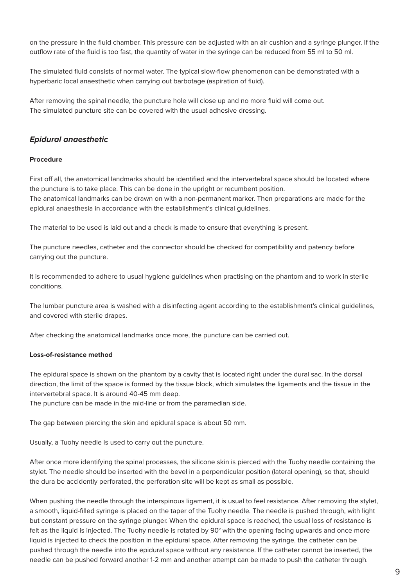on the pressure in the fluid chamber. This pressure can be adjusted with an air cushion and a syringe plunger. If the outflow rate of the fluid is too fast, the quantity of water in the syringe can be reduced from 55 ml to 50 ml.

The simulated fluid consists of normal water. The typical slow-flow phenomenon can be demonstrated with a hyperbaric local anaesthetic when carrying out barbotage (aspiration of fluid).

After removing the spinal needle, the puncture hole will close up and no more fluid will come out. The simulated puncture site can be covered with the usual adhesive dressing.

#### **Epidural anaesthetic**

#### **Procedure**

First off all, the anatomical landmarks should be identified and the intervertebral space should be located where the puncture is to take place. This can be done in the upright or recumbent position. The anatomical landmarks can be drawn on with a non-permanent marker. Then preparations are made for the epidural anaesthesia in accordance with the establishment's clinical guidelines.

The material to be used is laid out and a check is made to ensure that everything is present.

The puncture needles, catheter and the connector should be checked for compatibility and patency before carrying out the puncture.

It is recommended to adhere to usual hygiene guidelines when practising on the phantom and to work in sterile conditions.

The lumbar puncture area is washed with a disinfecting agent according to the establishment's clinical guidelines, and covered with sterile drapes.

After checking the anatomical landmarks once more, the puncture can be carried out.

#### **Loss-of-resistance method**

The epidural space is shown on the phantom by a cavity that is located right under the dural sac. In the dorsal direction, the limit of the space is formed by the tissue block, which simulates the ligaments and the tissue in the intervertebral space. It is around 40-45 mm deep.

The puncture can be made in the mid-line or from the paramedian side.

The gap between piercing the skin and epidural space is about 50 mm.

Usually, a Tuohy needle is used to carry out the puncture.

After once more identifying the spinal processes, the silicone skin is pierced with the Tuohy needle containing the stylet. The needle should be inserted with the bevel in a perpendicular position (lateral opening), so that, should the dura be accidently perforated, the perforation site will be kept as small as possible.

When pushing the needle through the interspinous ligament, it is usual to feel resistance. After removing the stylet, a smooth, liquid-filled syringe is placed on the taper of the Tuohy needle. The needle is pushed through, with light but constant pressure on the syringe plunger. When the epidural space is reached, the usual loss of resistance is felt as the liquid is injected. The Tuohy needle is rotated by 90° with the opening facing upwards and once more liquid is injected to check the position in the epidural space. After removing the syringe, the catheter can be pushed through the needle into the epidural space without any resistance. If the catheter cannot be inserted, the needle can be pushed forward another 1-2 mm and another attempt can be made to push the catheter through.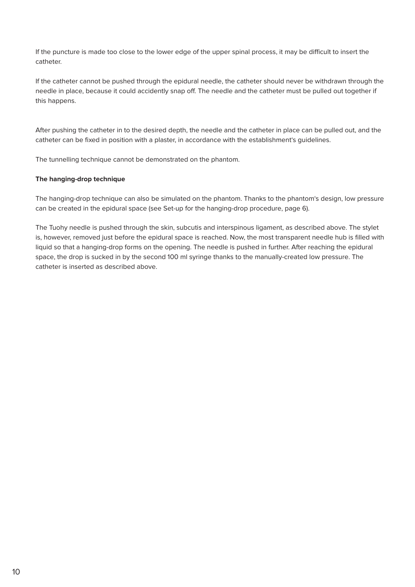If the puncture is made too close to the lower edge of the upper spinal process, it may be difficult to insert the catheter.

If the catheter cannot be pushed through the epidural needle, the catheter should never be withdrawn through the needle in place, because it could accidently snap off. The needle and the catheter must be pulled out together if this happens.

After pushing the catheter in to the desired depth, the needle and the catheter in place can be pulled out, and the catheter can be fixed in position with a plaster, in accordance with the establishment's guidelines.

The tunnelling technique cannot be demonstrated on the phantom.

#### **The hanging-drop technique**

The hanging-drop technique can also be simulated on the phantom. Thanks to the phantom's design, low pressure can be created in the epidural space (see Set-up for the hanging-drop procedure, page 6).

The Tuohy needle is pushed through the skin, subcutis and interspinous ligament, as described above. The stylet is, however, removed just before the epidural space is reached. Now, the most transparent needle hub is filled with liquid so that a hanging-drop forms on the opening. The needle is pushed in further. After reaching the epidural space, the drop is sucked in by the second 100 ml syringe thanks to the manually-created low pressure. The catheter is inserted as described above.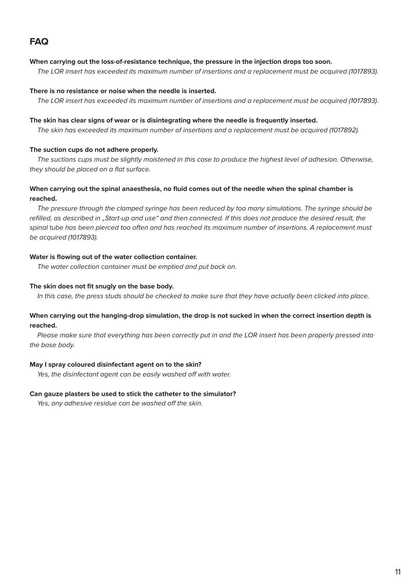# **FAQ**

#### **When carrying out the loss-of-resistance technique, the pressure in the injection drops too soon.**

The LOR insert has exceeded its maximum number of insertions and a replacement must be acquired (1017893).

#### **There is no resistance or noise when the needle is inserted.**

The LOR insert has exceeded its maximum number of insertions and a replacement must be acquired (1017893).

#### **The skin has clear signs of wear or is disintegrating where the needle is frequently inserted.**

The skin has exceeded its maximum number of insertions and a replacement must be acquired (1017892).

#### **The suction cups do not adhere properly.**

The suctions cups must be slightly moistened in this case to produce the highest level of adhesion. Otherwise, they should be placed on a flat surface.

#### **When carrying out the spinal anaesthesia, no fluid comes out of the needle when the spinal chamber is reached.**

The pressure through the clamped syringe has been reduced by too many simulations. The syringe should be refilled, as described in "Start-up and use" and then connected. If this does not produce the desired result, the spinal tube has been pierced too often and has reached its maximum number of insertions. A replacement must be acquired (1017893).

#### **Water is flowing out of the water collection container.**

The water collection container must be emptied and put back on.

#### **The skin does not fit snugly on the base body.**

In this case, the press studs should be checked to make sure that they have actually been clicked into place.

#### **When carrying out the hanging-drop simulation, the drop is not sucked in when the correct insertion depth is reached.**

Please make sure that everything has been correctly put in and the LOR insert has been properly pressed into the base body.

#### **May I spray coloured disinfectant agent on to the skin?**

Yes, the disinfectant agent can be easily washed off with water.

#### **Can gauze plasters be used to stick the catheter to the simulator?**

Yes, any adhesive residue can be washed off the skin.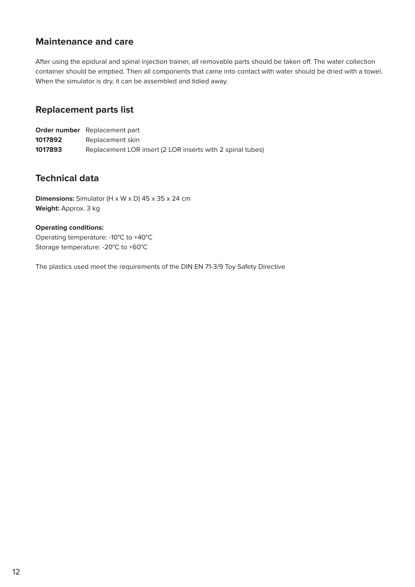### **Maintenance and care**

After using the epidural and spinal injection trainer, all removable parts should be taken off. The water collection container should be emptied. Then all components that came into contact with water should be dried with a towel. When the simulator is dry, it can be assembled and tidied away.

### **Replacement parts list**

|         | <b>Order number</b> Replacement part                       |
|---------|------------------------------------------------------------|
| 1017892 | Replacement skin                                           |
| 1017893 | Replacement LOR insert (2 LOR inserts with 2 spinal tubes) |

## **Technical data**

**Dimensions:** Simulator (H x W x D) 45 x 35 x 24 cm **Weight:** Approx. 3 kg

#### **Operating conditions:**

Operating temperature: -10°C to +40°C Storage temperature: -20°C to +60°C

The plastics used meet the requirements of the DIN EN 71-3/9 Toy Safety Directive